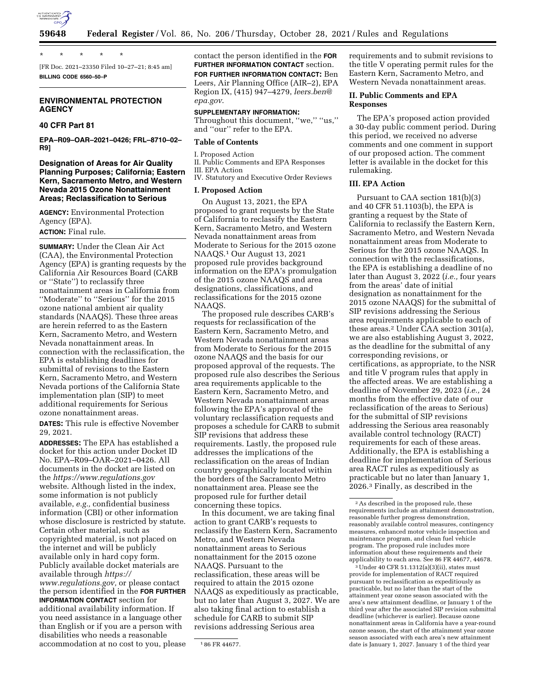

\* \* \* \* \*

[FR Doc. 2021–23350 Filed 10–27–21; 8:45 am] **BILLING CODE 6560–50–P** 

### **ENVIRONMENTAL PROTECTION AGENCY**

## **40 CFR Part 81**

**EPA–R09–OAR–2021–0426; FRL–8710–02– R9]** 

### **Designation of Areas for Air Quality Planning Purposes; California; Eastern Kern, Sacramento Metro, and Western Nevada 2015 Ozone Nonattainment Areas; Reclassification to Serious**

**AGENCY:** Environmental Protection Agency (EPA). **ACTION:** Final rule.

**SUMMARY:** Under the Clean Air Act (CAA), the Environmental Protection Agency (EPA) is granting requests by the California Air Resources Board (CARB or ''State'') to reclassify three nonattainment areas in California from ''Moderate'' to ''Serious'' for the 2015 ozone national ambient air quality standards (NAAQS). These three areas are herein referred to as the Eastern Kern, Sacramento Metro, and Western Nevada nonattainment areas. In connection with the reclassification, the EPA is establishing deadlines for submittal of revisions to the Eastern Kern, Sacramento Metro, and Western Nevada portions of the California State implementation plan (SIP) to meet additional requirements for Serious ozone nonattainment areas.

**DATES:** This rule is effective November 29, 2021.

**ADDRESSES:** The EPA has established a docket for this action under Docket ID No. EPA–R09–OAR–2021–0426. All documents in the docket are listed on the *<https://www.regulations.gov>* website. Although listed in the index, some information is not publicly available, *e.g.,* confidential business information (CBI) or other information whose disclosure is restricted by statute. Certain other material, such as copyrighted material, is not placed on the internet and will be publicly available only in hard copy form. Publicly available docket materials are available through *[https://](https://www.regulations.gov) [www.regulations.gov,](https://www.regulations.gov)* or please contact the person identified in the **FOR FURTHER INFORMATION CONTACT** section for additional availability information. If you need assistance in a language other than English or if you are a person with disabilities who needs a reasonable accommodation at no cost to you, please

contact the person identified in the **FOR FURTHER INFORMATION CONTACT** section. **FOR FURTHER INFORMATION CONTACT:** Ben Leers, Air Planning Office (AIR–2), EPA Region IX, (415) 947–4279, *[leers.ben@](mailto:leers.ben@epa.gov) [epa.gov](mailto:leers.ben@epa.gov)*.

#### **SUPPLEMENTARY INFORMATION:**

Throughout this document, "we," "us," and ''our'' refer to the EPA.

#### **Table of Contents**

I. Proposed Action

II. Public Comments and EPA Responses

III. EPA Action

IV. Statutory and Executive Order Reviews

## **I. Proposed Action**

On August 13, 2021, the EPA proposed to grant requests by the State of California to reclassify the Eastern Kern, Sacramento Metro, and Western Nevada nonattainment areas from Moderate to Serious for the 2015 ozone NAAQS.1 Our August 13, 2021 proposed rule provides background information on the EPA's promulgation of the 2015 ozone NAAQS and area designations, classifications, and reclassifications for the 2015 ozone NAAQS.

The proposed rule describes CARB's requests for reclassification of the Eastern Kern, Sacramento Metro, and Western Nevada nonattainment areas from Moderate to Serious for the 2015 ozone NAAQS and the basis for our proposed approval of the requests. The proposed rule also describes the Serious area requirements applicable to the Eastern Kern, Sacramento Metro, and Western Nevada nonattainment areas following the EPA's approval of the voluntary reclassification requests and proposes a schedule for CARB to submit SIP revisions that address these requirements. Lastly, the proposed rule addresses the implications of the reclassification on the areas of Indian country geographically located within the borders of the Sacramento Metro nonattainment area. Please see the proposed rule for further detail concerning these topics.

In this document, we are taking final action to grant CARB's requests to reclassify the Eastern Kern, Sacramento Metro, and Western Nevada nonattainment areas to Serious nonattainment for the 2015 ozone NAAQS. Pursuant to the reclassification, these areas will be required to attain the 2015 ozone NAAQS as expeditiously as practicable, but no later than August 3, 2027. We are also taking final action to establish a schedule for CARB to submit SIP revisions addressing Serious area

requirements and to submit revisions to the title V operating permit rules for the Eastern Kern, Sacramento Metro, and Western Nevada nonattainment areas.

## **II. Public Comments and EPA Responses**

The EPA's proposed action provided a 30-day public comment period. During this period, we received no adverse comments and one comment in support of our proposed action. The comment letter is available in the docket for this rulemaking.

## **III. EPA Action**

Pursuant to CAA section 181(b)(3) and 40 CFR 51.1103(b), the EPA is granting a request by the State of California to reclassify the Eastern Kern, Sacramento Metro, and Western Nevada nonattainment areas from Moderate to Serious for the 2015 ozone NAAQS. In connection with the reclassifications, the EPA is establishing a deadline of no later than August 3, 2022 (*i.e.,* four years from the areas' date of initial designation as nonattainment for the 2015 ozone NAAQS) for the submittal of SIP revisions addressing the Serious area requirements applicable to each of these areas.2 Under CAA section 301(a), we are also establishing August 3, 2022, as the deadline for the submittal of any corresponding revisions, or certifications, as appropriate, to the NSR and title V program rules that apply in the affected areas. We are establishing a deadline of November 29, 2023 (*i.e.,* 24 months from the effective date of our reclassification of the areas to Serious) for the submittal of SIP revisions addressing the Serious area reasonably available control technology (RACT) requirements for each of these areas. Additionally, the EPA is establishing a deadline for implementation of Serious area RACT rules as expeditiously as practicable but no later than January 1, 2026.3 Finally, as described in the

3Under 40 CFR 51.1312(a)(3)(ii), states must provide for implementation of RACT required pursuant to reclassification as expeditiously as practicable, but no later than the start of the attainment year ozone season associated with the area's new attainment deadline, or January 1 of the third year after the associated SIP revision submittal deadline (whichever is earlier). Because ozone nonattainment areas in California have a year-round ozone season, the start of the attainment year ozone season associated with each area's new attainment date is January 1, 2027. January 1 of the third year

<sup>1</sup> 86 FR 44677.

<sup>2</sup>As described in the proposed rule, these requirements include an attainment demonstration, reasonable further progress demonstration, reasonably available control measures, contingency measures, enhanced motor vehicle inspection and maintenance program, and clean fuel vehicle program. The proposed rule includes more information about these requirements and their applicability to each area. See 86 FR 44677, 44678.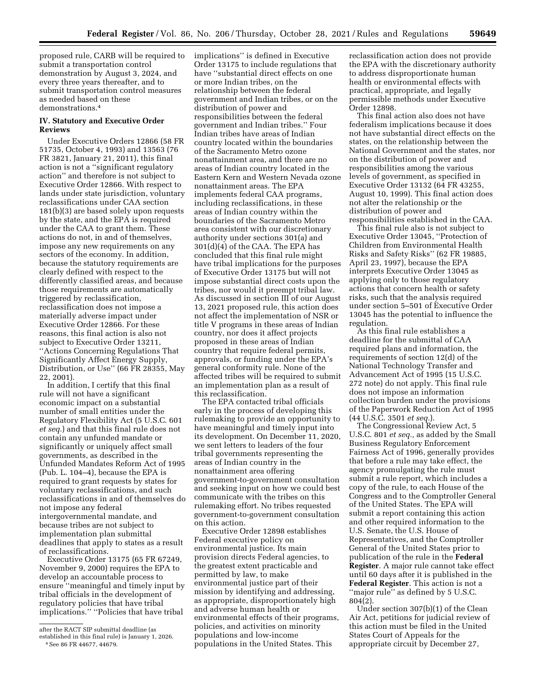proposed rule, CARB will be required to submit a transportation control demonstration by August 3, 2024, and every three years thereafter, and to submit transportation control measures as needed based on these demonstrations.4

### **IV. Statutory and Executive Order Reviews**

Under Executive Orders 12866 (58 FR 51735, October 4, 1993) and 13563 (76 FR 3821, January 21, 2011), this final action is not a ''significant regulatory action'' and therefore is not subject to Executive Order 12866. With respect to lands under state jurisdiction, voluntary reclassifications under CAA section 181(b)(3) are based solely upon requests by the state, and the EPA is required under the CAA to grant them. These actions do not, in and of themselves, impose any new requirements on any sectors of the economy. In addition, because the statutory requirements are clearly defined with respect to the differently classified areas, and because those requirements are automatically triggered by reclassification, reclassification does not impose a materially adverse impact under Executive Order 12866. For these reasons, this final action is also not subject to Executive Order 13211, ''Actions Concerning Regulations That Significantly Affect Energy Supply, Distribution, or Use'' (66 FR 28355, May 22, 2001).

In addition, I certify that this final rule will not have a significant economic impact on a substantial number of small entities under the Regulatory Flexibility Act (5 U.S.C. 601 *et seq.*) and that this final rule does not contain any unfunded mandate or significantly or uniquely affect small governments, as described in the Unfunded Mandates Reform Act of 1995 (Pub. L. 104–4), because the EPA is required to grant requests by states for voluntary reclassifications, and such reclassifications in and of themselves do not impose any federal intergovernmental mandate, and because tribes are not subject to implementation plan submittal deadlines that apply to states as a result of reclassifications.

Executive Order 13175 (65 FR 67249, November 9, 2000) requires the EPA to develop an accountable process to ensure ''meaningful and timely input by tribal officials in the development of regulatory policies that have tribal implications.'' ''Policies that have tribal

4See 86 FR 44677, 44679.

implications'' is defined in Executive Order 13175 to include regulations that have ''substantial direct effects on one or more Indian tribes, on the relationship between the federal government and Indian tribes, or on the distribution of power and responsibilities between the federal government and Indian tribes.'' Four Indian tribes have areas of Indian country located within the boundaries of the Sacramento Metro ozone nonattainment area, and there are no areas of Indian country located in the Eastern Kern and Western Nevada ozone nonattainment areas. The EPA implements federal CAA programs, including reclassifications, in these areas of Indian country within the boundaries of the Sacramento Metro area consistent with our discretionary authority under sections 301(a) and 301(d)(4) of the CAA. The EPA has concluded that this final rule might have tribal implications for the purposes of Executive Order 13175 but will not impose substantial direct costs upon the tribes, nor would it preempt tribal law. As discussed in section III of our August 13, 2021 proposed rule, this action does not affect the implementation of NSR or title V programs in these areas of Indian country, nor does it affect projects proposed in these areas of Indian country that require federal permits, approvals, or funding under the EPA's general conformity rule. None of the affected tribes will be required to submit an implementation plan as a result of this reclassification.

The EPA contacted tribal officials early in the process of developing this rulemaking to provide an opportunity to have meaningful and timely input into its development. On December 11, 2020, we sent letters to leaders of the four tribal governments representing the areas of Indian country in the nonattainment area offering government-to-government consultation and seeking input on how we could best communicate with the tribes on this rulemaking effort. No tribes requested government-to-government consultation on this action.

Executive Order 12898 establishes Federal executive policy on environmental justice. Its main provision directs Federal agencies, to the greatest extent practicable and permitted by law, to make environmental justice part of their mission by identifying and addressing, as appropriate, disproportionately high and adverse human health or environmental effects of their programs, policies, and activities on minority populations and low-income populations in the United States. This

reclassification action does not provide the EPA with the discretionary authority to address disproportionate human health or environmental effects with practical, appropriate, and legally permissible methods under Executive Order 12898.

This final action also does not have federalism implications because it does not have substantial direct effects on the states, on the relationship between the National Government and the states, nor on the distribution of power and responsibilities among the various levels of government, as specified in Executive Order 13132 (64 FR 43255, August 10, 1999). This final action does not alter the relationship or the distribution of power and responsibilities established in the CAA.

This final rule also is not subject to Executive Order 13045, ''Protection of Children from Environmental Health Risks and Safety Risks'' (62 FR 19885, April 23, 1997), because the EPA interprets Executive Order 13045 as applying only to those regulatory actions that concern health or safety risks, such that the analysis required under section 5–501 of Executive Order 13045 has the potential to influence the regulation.

As this final rule establishes a deadline for the submittal of CAA required plans and information, the requirements of section 12(d) of the National Technology Transfer and Advancement Act of 1995 (15 U.S.C. 272 note) do not apply. This final rule does not impose an information collection burden under the provisions of the Paperwork Reduction Act of 1995 (44 U.S.C. 3501 *et seq.*).

The Congressional Review Act, 5 U.S.C. 801 *et seq.,* as added by the Small Business Regulatory Enforcement Fairness Act of 1996, generally provides that before a rule may take effect, the agency promulgating the rule must submit a rule report, which includes a copy of the rule, to each House of the Congress and to the Comptroller General of the United States. The EPA will submit a report containing this action and other required information to the U.S. Senate, the U.S. House of Representatives, and the Comptroller General of the United States prior to publication of the rule in the **Federal Register**. A major rule cannot take effect until 60 days after it is published in the **Federal Register**. This action is not a ''major rule'' as defined by 5 U.S.C. 804(2).

Under section 307(b)(1) of the Clean Air Act, petitions for judicial review of this action must be filed in the United States Court of Appeals for the appropriate circuit by December 27,

after the RACT SIP submittal deadline (as established in this final rule) is January 1, 2026.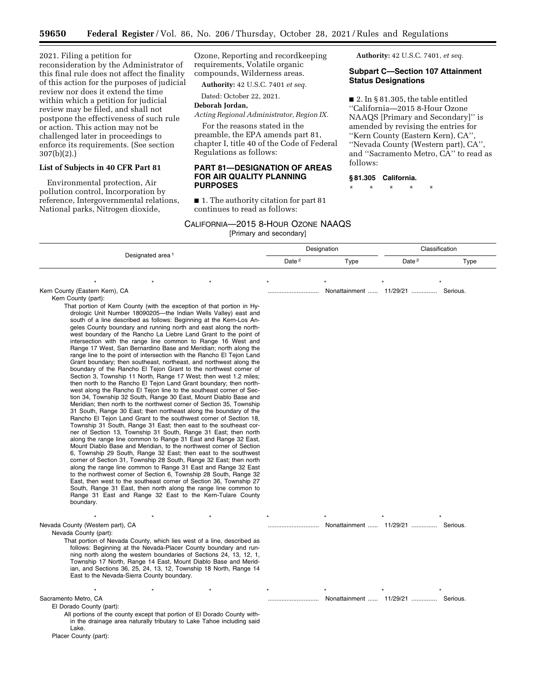2021. Filing a petition for reconsideration by the Administrator of this final rule does not affect the finality of this action for the purposes of judicial review nor does it extend the time within which a petition for judicial review may be filed, and shall not postpone the effectiveness of such rule or action. This action may not be challenged later in proceedings to enforce its requirements. (See section 307(b)(2).)

#### **List of Subjects in 40 CFR Part 81**

Environmental protection, Air pollution control, Incorporation by reference, Intergovernmental relations, National parks, Nitrogen dioxide,

Ozone, Reporting and recordkeeping requirements, Volatile organic compounds, Wilderness areas.

**Authority:** 42 U.S.C. 7401, *et seq.*  **Subpart C—Section 107 Attainment** 

 $\blacksquare$  2. In § 81.305, the table entitled ''California—2015 8-Hour Ozone NAAQS [Primary and Secondary]'' is amended by revising the entries for ''Kern County (Eastern Kern), CA'', ''Nevada County (Western part), CA'', and ''Sacramento Metro, CA'' to read as

**Status Designations** 

follows:

**§ 81.305 California.**  \* \* \* \* \*

**Authority:** 42 U.S.C. 7401 *et seq.* 

Dated: October 22, 2021.

#### **Deborah Jordan,**

*Acting Regional Administrator, Region IX.* 

For the reasons stated in the preamble, the EPA amends part 81, chapter I, title 40 of the Code of Federal Regulations as follows:

## **PART 81—DESIGNATION OF AREAS FOR AIR QUALITY PLANNING PURPOSES**

■ 1. The authority citation for part 81 continues to read as follows:

#### CALIFORNIA—2015 8-HOUR OZONE NAAQS

[Primary and secondary]

Designated area<sup>1</sup> Designation Classification Date<sup>2</sup> Type Date<sup>2</sup> Type \*\*\*\*\*\*\* Kern County (Eastern Kern), CA .............................. Nonattainment ...... 11/29/21 ............... Serious. Kern County (part): That portion of Kern County (with the exception of that portion in Hydrologic Unit Number 18090205—the Indian Wells Valley) east and south of a line described as follows: Beginning at the Kern-Los Angeles County boundary and running north and east along the northwest boundary of the Rancho La Liebre Land Grant to the point of intersection with the range line common to Range 16 West and Range 17 West, San Bernardino Base and Meridian; north along the range line to the point of intersection with the Rancho El Tejon Land Grant boundary; then southeast, northeast, and northwest along the boundary of the Rancho El Tejon Grant to the northwest corner of Section 3, Township 11 North, Range 17 West; then west 1.2 miles; then north to the Rancho El Tejon Land Grant boundary; then northwest along the Rancho El Tejon line to the southeast corner of Section 34, Township 32 South, Range 30 East, Mount Diablo Base and Meridian; then north to the northwest corner of Section 35, Township 31 South, Range 30 East; then northeast along the boundary of the Rancho El Tejon Land Grant to the southwest corner of Section 18, Township 31 South, Range 31 East; then east to the southeast corner of Section 13, Township 31 South, Range 31 East; then north along the range line common to Range 31 East and Range 32 East, Mount Diablo Base and Meridian, to the northwest corner of Section 6, Township 29 South, Range 32 East; then east to the southwest corner of Section 31, Township 28 South, Range 32 East; then north along the range line common to Range 31 East and Range 32 East to the northwest corner of Section 6, Township 28 South, Range 32 East, then west to the southeast corner of Section 36, Township 27 South, Range 31 East, then north along the range line common to Range 31 East and Range 32 East to the Kern-Tulare County boundary. \*\*\*\*\*\*\* Nevada County (Western part), CA .............................. Nonattainment ...... 11/29/21 ............... Serious. Nevada County (part): That portion of Nevada County, which lies west of a line, described as follows: Beginning at the Nevada-Placer County boundary and running north along the western boundaries of Sections 24, 13, 12, 1, Township 17 North, Range 14 East, Mount Diablo Base and Meridian, and Sections 36, 25, 24, 13, 12, Township 18 North, Range 14 East to the Nevada-Sierra County boundary. \*\*\*\*\*\*\* Sacramento Metro, CA .............................. Nonattainment ...... 11/29/21 ............... Serious. El Dorado County (part): All portions of the county except that portion of El Dorado County within the drainage area naturally tributary to Lake Tahoe including said Lake. Placer County (part):